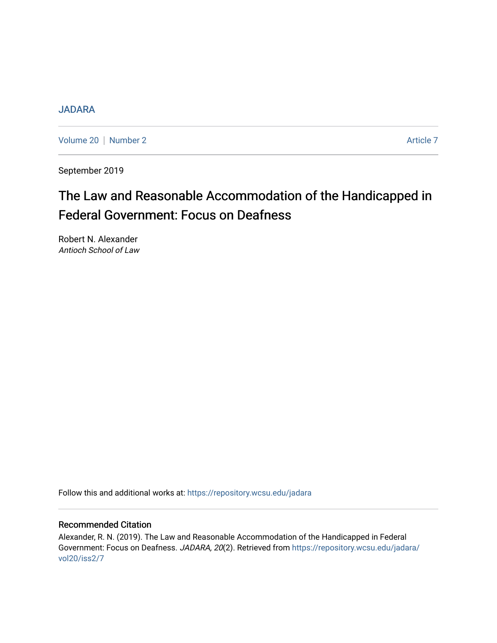# [JADARA](https://repository.wcsu.edu/jadara)

[Volume 20](https://repository.wcsu.edu/jadara/vol20) | [Number 2](https://repository.wcsu.edu/jadara/vol20/iss2) Article 7

September 2019

# The Law and Reasonable Accommodation of the Handicapped in Federal Government: Focus on Deafness

Robert N. Alexander Antioch School of Law

Follow this and additional works at: [https://repository.wcsu.edu/jadara](https://repository.wcsu.edu/jadara?utm_source=repository.wcsu.edu%2Fjadara%2Fvol20%2Fiss2%2F7&utm_medium=PDF&utm_campaign=PDFCoverPages)

## Recommended Citation

Alexander, R. N. (2019). The Law and Reasonable Accommodation of the Handicapped in Federal Government: Focus on Deafness. JADARA, 20(2). Retrieved from [https://repository.wcsu.edu/jadara/](https://repository.wcsu.edu/jadara/vol20/iss2/7?utm_source=repository.wcsu.edu%2Fjadara%2Fvol20%2Fiss2%2F7&utm_medium=PDF&utm_campaign=PDFCoverPages) [vol20/iss2/7](https://repository.wcsu.edu/jadara/vol20/iss2/7?utm_source=repository.wcsu.edu%2Fjadara%2Fvol20%2Fiss2%2F7&utm_medium=PDF&utm_campaign=PDFCoverPages)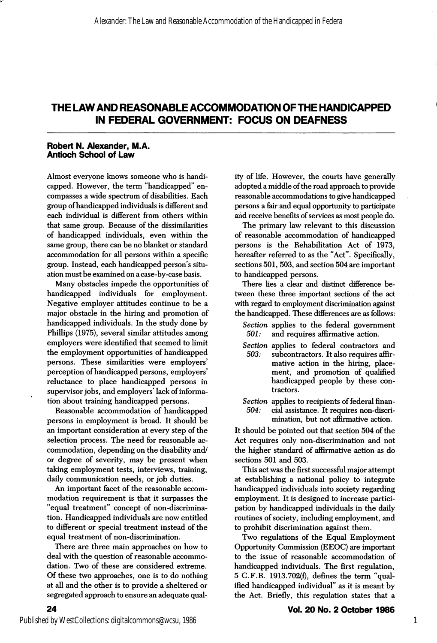# THE LAW AND REASONABLE ACCOMMODATION OF THE HANDICAPPED IN FEDERAL GOVERNMENT: FOCUS ON DEAFNESS

#### Robert N. Alexander, M.A. Antioch School of Law

Almost everyone knows someone who is handi capped. However, the term "handicapped" en compasses a wide spectrum of disabilities. Each group of handicapped individuals is different and each individual is different from others within that same group. Because of the dissimilarities of handicapped individuals, even within the same group, there can be no blanket or standard accommodation for all persons within a specific group. Instead, each handicapped person's situ ation must be examined on a case-by-case basis.

Many obstacles impede the opportunities of handicapped individuals for employment. Negative employer attitudes continue to be a major obstacle in the hiring and promotion of handicapped individuals. In the study done by Phillips (1975), several similar attitudes among employers were identified that seemed to limit the employment opportunities of handicapped persons. These similarities were employers' perception of handicapped persons, employers' reluctance to place handicapped persons in supervisor jobs, and employers' lack of informa tion about training handicapped persons.

Reasonable accommodation of handicapped persons in employment is broad. It should be an important consideration at every step of the selection process. The need for reasonable ac commodation, depending on the disability and/ or degree of severity, may be present when taking employment tests, interviews, training, daily communication needs, or job duties.

An important facet of the reasonable accom modation requirement is that it surpasses the "equal treatment" concept of non-discrimina tion. Handicapped individuals are now entitled to different or special treatment instead of the equal treatment of non-discrimination.

There are three main approaches on how to deal with the question of reasonable accommo dation. Two of these are considered extreme. Of these two approaches, one is to do nothing at all and the other is to provide a sheltered or segregated approach to ensure an adequate quality of life. However, the courts have generally adopted a middle of the road approach to provide reasonable accommodations to give handicapped persons a fair and equal opportunity to participate and receive benefits of services as most people do.

The primary law relevant to this discussion of reasonable accommodation of handicapped persons is the Rehabilitation Act of 1973, hereafter referred to as the "Act". Specifically, sections 501, 503, and section 504 are important to handicapped persons.

There lies a clear and distinct difference be tween these three important sections of the act with regard to employment discrimination against the handicapped. These differences are as follows:

- Section applies to the federal government 501: and requires affirmative action.
- Section applies to federal contractors and<br>503: subcontractors. It also requires affirsubcontractors. It also requires affirmative action in the hiring, place ment, and promotion of qualified handicapped people by these con tractors.
- Section applies to recipients of federal finan-504: cial assistance. It requires non-discri mination, but not affirmative action.

It should be pointed out that section 504 of the Act requires only non-discrimination and not the higher standard of affirmative action as do sections 501 and 503.

This act was the first successful major attempt at establishing a national policy to integrate handicapped individuals into society regarding employment. It is designed to increase partici pation by handicapped individuals in the daily routines of society, including employment, and to prohibit discrimination against them.

Two regulations of the Equal Employment Opportunity Commission (EEOC) are important to the issue of reasonable accommodation of handicapped individuals. The first regulation, 5 C.F.R. 1913.702(f), defines the term "qual ified handicapped individual" as it is meant by the Act. Briefly, this regulation states that a

24

1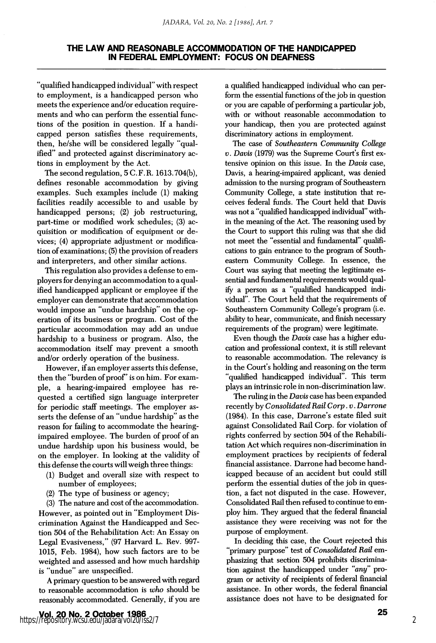### THE LAW AND REASONABLE ACCOMMODATION OF THE HANDICAPPED IN FEDERAL EMPLOYMENT: FOCUS ON DEAFNESS

"qualified handicapped individual" with respect to employment, is a handicapped person who meets the experience and/or education require ments and who can perform the essential func tions of the position in question. If a handi capped person satisfies these requirements, then, he/she will be considered legally "qual ified" and protected against discriminatory ac tions in employment by the Act.

The second regulation, 5 C.F.R. 1613.704(b), defines resonable accommodation by giving examples. Such examples include (1) making facilities readily accessible to and usable by handicapped persons; (2) job restructuring, part-time or modified work schedules; (3) ac quisition or modification of equipment or devices; (4) appropriate adjustment or modifica tion of examinations; (5) the provision of readers and interpreters, and other similar actions.

This regulation also provides a defense to em ployers for denying an accommodation to a qual ified handicapped applicant or employee if the employer can demonstrate that accommodation would impose an "undue hardship" on the op eration of its business or program. Cost of the particular accommodation may add an undue hardship to a business or program. Also, the accommodation itself may prevent a smooth and/or orderly operation of the business.

However, if an employer asserts this defense, then the "burden of proof" is on him. For example, a hearing-impaired employee has re quested a certified sign language interpreter for periodic staff meetings. The employer as serts the defense of an "undue hardship" as the reason for failing to accommodate the hearingimpaired employee. The burden of proof of an undue hardship upon his business would, be on the employer. In looking at the validity of this defense the courts will weigh three things:

- (1) Budget and overall size with respect to number of employees;
- (2) The type of business or agency;

(3) The nature and cost of the accommodation. However, as pointed out in "Employment Dis crimination Against the Handicapped and Sec tion 504 of the Rehabilitation Act: An Essay on Legal Evasiveness," (97 Harvard L. Rev. 997- 1015, Feb. 1984), how such factors are to be weighted and assessed and how much hardship is "undue" are unspecified.

A primary question to be answered with regard to reasonable accommodation is who should be reasonably accommodated. Generally, if you are

a qualified handicapped individual who can per form the essential functions of the job in question or you are capable of performing a particular job, with or without reasonable accommodation to your handicap, then you are protected against discriminatory actions in employment.

The case of Southeastern Community College V. Davis (1979) was the Supreme Court's first ex tensive opinion on this issue. In the Davis case, Davis, a hearing-impaired applicant, was denied admission to the nursing program of Southeastern Community College, a state institution that re ceives federal funds. The Court held that Davis was not a "qualified handicapped individual" with in the meaning of the Act. The reasoning used by the Court to support this ruling was that she did not meet the "essential and fundamental" qualifi cations to gain entrance to the program of Southeastern Community College. In essence, the Court was saying that meeting the legitimate es sential and fundamental requirements would qual ify a person as a "qualified handicapped indi vidual". The Court held that the requirements of Southeastern Community College's program (i.e. ability to hear, communicate, and finish necessary requirements of the program) were legitimate.

Even though the Davis case has a higher edu cation and professional context, it is still relevant to reasonable accommodation. The relevancy is in the Court's holding and reasoning on the term "qualified handicapped individual". This term plays an intrinsic role in non-discrimination law.

The ruling in the Davis case has been expanded recently by Consolidated Rail Corp. v. Darrone (1984). In this case, Darrone's estate filed suit against Consolidated Rail Corp. for violation of rights conferred by section 504 of the Rehabili tation Act which requires non-discrimination in employment practices by recipients of federal financial assistance. Darrone had become hand icapped because of an accident but could still perform the essential duties of the job in ques tion, a fact not disputed in the case. However, Consolidated Rail then refused to continue to em ploy him. They argued that the federal financial assistance they were receiving was not for the purpose of employment.

In deciding this case, the Court rejected this "primary purpose" test of Consolidated Rail emphasizing that section 504 prohibits discrimina tion against the handicapped under "any" pro gram or activity of recipients of federal financial assistance. In other words, the federal financial assistance does not have to be designated for

2